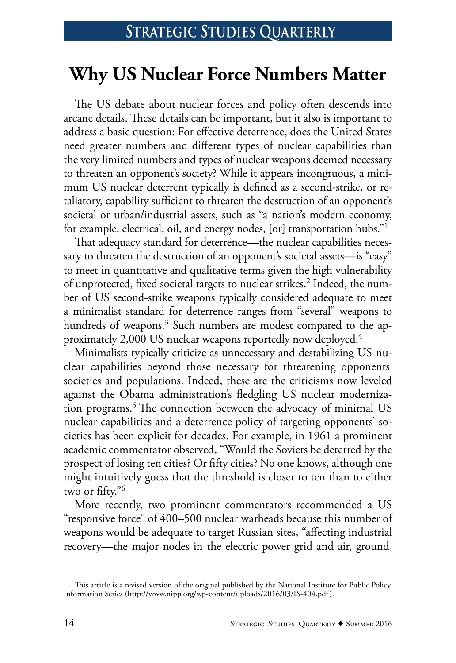# **Why US Nuclear Force Numbers Matter**

The US debate about nuclear forces and policy often descends into arcane details. These details can be important, but it also is important to address a basic question: For effective deterrence, does the United States need greater numbers and different types of nuclear capabilities than the very limited numbers and types of nuclear weapons deemed necessary to threaten an opponent's society? While it appears incongruous, a minimum US nuclear deterrent typically is defined as a second-strike, or retaliatory, capability sufficient to threaten the destruction of an opponent's societal or urban/industrial assets, such as "a nation's modern economy, for example, electrical, oil, and energy nodes, [or] transportation hubs."1

That adequacy standard for deterrence—the nuclear capabilities necessary to threaten the destruction of an opponent's societal assets—is "easy" to meet in quantitative and qualitative terms given the high vulnerability of unprotected, fixed societal targets to nuclear strikes.<sup>2</sup> Indeed, the number of US second-strike weapons typically considered adequate to meet a minimalist standard for deterrence ranges from "several" weapons to hundreds of weapons.<sup>3</sup> Such numbers are modest compared to the approximately 2,000 US nuclear weapons reportedly now deployed.4

Minimalists typically criticize as unnecessary and destabilizing US nuclear capabilities beyond those necessary for threatening opponents' societies and populations. Indeed, these are the criticisms now leveled against the Obama administration's fledgling US nuclear modernization programs.<sup>5</sup> The connection between the advocacy of minimal US nuclear capabilities and a deterrence policy of targeting opponents' societies has been explicit for decades. For example, in 1961 a prominent academic commentator observed, "Would the Soviets be deterred by the prospect of losing ten cities? Or fifty cities? No one knows, although one might intuitively guess that the threshold is closer to ten than to either two or fifty."6

More recently, two prominent commentators recommended a US "responsive force" of 400–500 nuclear warheads because this number of weapons would be adequate to target Russian sites, "affecting industrial recovery—the major nodes in the electric power grid and air, ground,

This article is a revised version of the original published by the National Institute for Public Policy, Information Series (http://www.nipp.org/wp-content/uploads/2016/03/IS-404.pdf).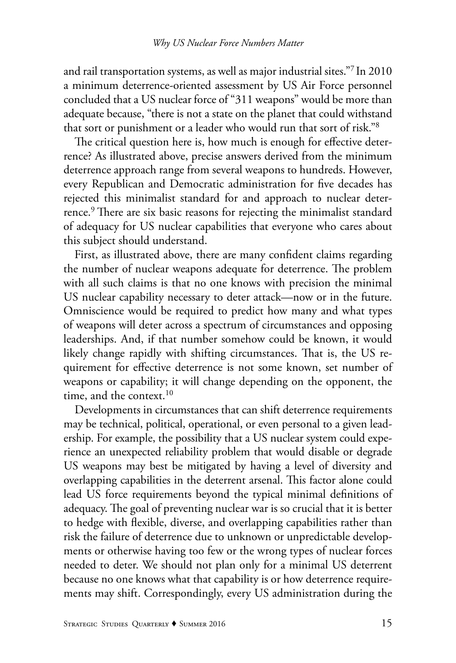and rail transportation systems, as well as major industrial sites."7 In 2010 a minimum deterrence-oriented assessment by US Air Force personnel concluded that a US nuclear force of "311 weapons" would be more than adequate because, "there is not a state on the planet that could withstand that sort or punishment or a leader who would run that sort of risk."8

The critical question here is, how much is enough for effective deterrence? As illustrated above, precise answers derived from the minimum deterrence approach range from several weapons to hundreds. However, every Republican and Democratic administration for five decades has rejected this minimalist standard for and approach to nuclear deterrence.<sup>9</sup> There are six basic reasons for rejecting the minimalist standard of adequacy for US nuclear capabilities that everyone who cares about this subject should understand.

First, as illustrated above, there are many confident claims regarding the number of nuclear weapons adequate for deterrence. The problem with all such claims is that no one knows with precision the minimal US nuclear capability necessary to deter attack—now or in the future. Omniscience would be required to predict how many and what types of weapons will deter across a spectrum of circumstances and opposing leaderships. And, if that number somehow could be known, it would likely change rapidly with shifting circumstances. That is, the US requirement for effective deterrence is not some known, set number of weapons or capability; it will change depending on the opponent, the time, and the context.<sup>10</sup>

Developments in circumstances that can shift deterrence requirements may be technical, political, operational, or even personal to a given leadership. For example, the possibility that a US nuclear system could experience an unexpected reliability problem that would disable or degrade US weapons may best be mitigated by having a level of diversity and overlapping capabilities in the deterrent arsenal. This factor alone could lead US force requirements beyond the typical minimal definitions of adequacy. The goal of preventing nuclear war is so crucial that it is better to hedge with flexible, diverse, and overlapping capabilities rather than risk the failure of deterrence due to unknown or unpredictable developments or otherwise having too few or the wrong types of nuclear forces needed to deter. We should not plan only for a minimal US deterrent because no one knows what that capability is or how deterrence requirements may shift. Correspondingly, every US administration during the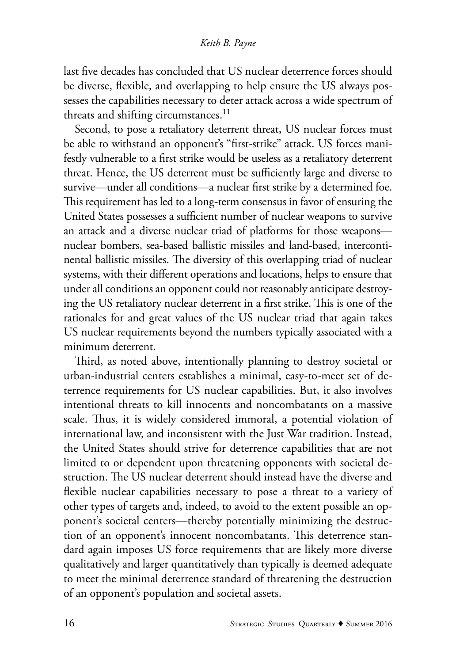last five decades has concluded that US nuclear deterrence forces should be diverse, flexible, and overlapping to help ensure the US always possesses the capabilities necessary to deter attack across a wide spectrum of threats and shifting circumstances. $<sup>11</sup>$ </sup>

Second, to pose a retaliatory deterrent threat, US nuclear forces must be able to withstand an opponent's "first-strike" attack. US forces manifestly vulnerable to a first strike would be useless as a retaliatory deterrent threat. Hence, the US deterrent must be sufficiently large and diverse to survive—under all conditions—a nuclear first strike by a determined foe. This requirement has led to a long-term consensus in favor of ensuring the United States possesses a sufficient number of nuclear weapons to survive an attack and a diverse nuclear triad of platforms for those weapons nuclear bombers, sea-based ballistic missiles and land-based, intercontinental ballistic missiles. The diversity of this overlapping triad of nuclear systems, with their different operations and locations, helps to ensure that under all conditions an opponent could not reasonably anticipate destroying the US retaliatory nuclear deterrent in a first strike. This is one of the rationales for and great values of the US nuclear triad that again takes US nuclear requirements beyond the numbers typically associated with a minimum deterrent.

Third, as noted above, intentionally planning to destroy societal or urban-industrial centers establishes a minimal, easy-to-meet set of deterrence requirements for US nuclear capabilities. But, it also involves intentional threats to kill innocents and noncombatants on a massive scale. Thus, it is widely considered immoral, a potential violation of international law, and inconsistent with the Just War tradition. Instead, the United States should strive for deterrence capabilities that are not limited to or dependent upon threatening opponents with societal destruction. The US nuclear deterrent should instead have the diverse and flexible nuclear capabilities necessary to pose a threat to a variety of other types of targets and, indeed, to avoid to the extent possible an opponent's societal centers—thereby potentially minimizing the destruction of an opponent's innocent noncombatants. This deterrence standard again imposes US force requirements that are likely more diverse qualitatively and larger quantitatively than typically is deemed adequate to meet the minimal deterrence standard of threatening the destruction of an opponent's population and societal assets.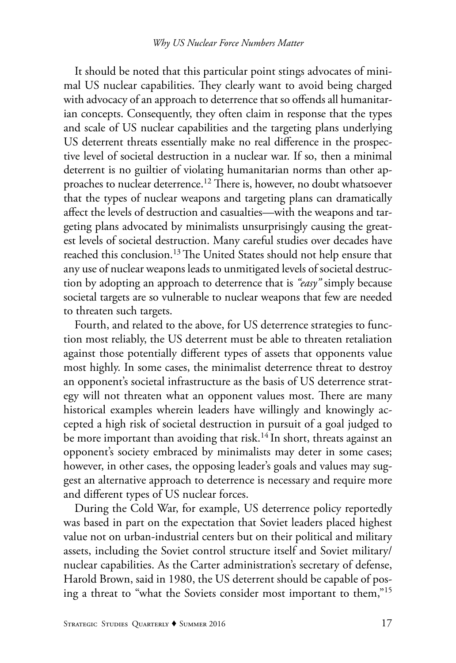It should be noted that this particular point stings advocates of minimal US nuclear capabilities. They clearly want to avoid being charged with advocacy of an approach to deterrence that so offends all humanitarian concepts. Consequently, they often claim in response that the types and scale of US nuclear capabilities and the targeting plans underlying US deterrent threats essentially make no real difference in the prospective level of societal destruction in a nuclear war. If so, then a minimal deterrent is no guiltier of violating humanitarian norms than other approaches to nuclear deterrence.12 There is, however, no doubt whatsoever that the types of nuclear weapons and targeting plans can dramatically affect the levels of destruction and casualties—with the weapons and targeting plans advocated by minimalists unsurprisingly causing the greatest levels of societal destruction. Many careful studies over decades have reached this conclusion.<sup>13</sup> The United States should not help ensure that any use of nuclear weapons leads to unmitigated levels of societal destruction by adopting an approach to deterrence that is *"easy"* simply because societal targets are so vulnerable to nuclear weapons that few are needed to threaten such targets.

Fourth, and related to the above, for US deterrence strategies to function most reliably, the US deterrent must be able to threaten retaliation against those potentially different types of assets that opponents value most highly. In some cases, the minimalist deterrence threat to destroy an opponent's societal infrastructure as the basis of US deterrence strategy will not threaten what an opponent values most. There are many historical examples wherein leaders have willingly and knowingly accepted a high risk of societal destruction in pursuit of a goal judged to be more important than avoiding that risk.<sup>14</sup> In short, threats against an opponent's society embraced by minimalists may deter in some cases; however, in other cases, the opposing leader's goals and values may suggest an alternative approach to deterrence is necessary and require more and different types of US nuclear forces.

During the Cold War, for example, US deterrence policy reportedly was based in part on the expectation that Soviet leaders placed highest value not on urban-industrial centers but on their political and military assets, including the Soviet control structure itself and Soviet military/ nuclear capabilities. As the Carter administration's secretary of defense, Harold Brown, said in 1980, the US deterrent should be capable of posing a threat to "what the Soviets consider most important to them,"15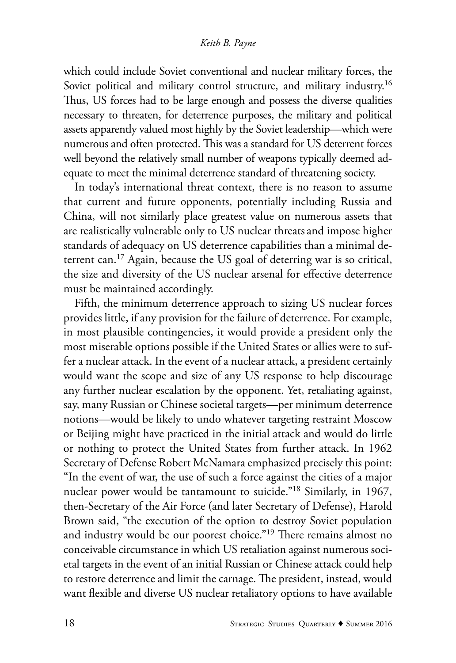which could include Soviet conventional and nuclear military forces, the Soviet political and military control structure, and military industry.<sup>16</sup> Thus, US forces had to be large enough and possess the diverse qualities necessary to threaten, for deterrence purposes, the military and political assets apparently valued most highly by the Soviet leadership—which were numerous and often protected. This was a standard for US deterrent forces well beyond the relatively small number of weapons typically deemed adequate to meet the minimal deterrence standard of threatening society.

In today's international threat context, there is no reason to assume that current and future opponents, potentially including Russia and China, will not similarly place greatest value on numerous assets that are realistically vulnerable only to US nuclear threats and impose higher standards of adequacy on US deterrence capabilities than a minimal deterrent can.17 Again, because the US goal of deterring war is so critical, the size and diversity of the US nuclear arsenal for effective deterrence must be maintained accordingly.

Fifth, the minimum deterrence approach to sizing US nuclear forces provides little, if any provision for the failure of deterrence. For example, in most plausible contingencies, it would provide a president only the most miserable options possible if the United States or allies were to suffer a nuclear attack. In the event of a nuclear attack, a president certainly would want the scope and size of any US response to help discourage any further nuclear escalation by the opponent. Yet, retaliating against, say, many Russian or Chinese societal targets—per minimum deterrence notions—would be likely to undo whatever targeting restraint Moscow or Beijing might have practiced in the initial attack and would do little or nothing to protect the United States from further attack. In 1962 Secretary of Defense Robert McNamara emphasized precisely this point: "In the event of war, the use of such a force against the cities of a major nuclear power would be tantamount to suicide."18 Similarly, in 1967, then-Secretary of the Air Force (and later Secretary of Defense), Harold Brown said, "the execution of the option to destroy Soviet population and industry would be our poorest choice."19 There remains almost no conceivable circumstance in which US retaliation against numerous societal targets in the event of an initial Russian or Chinese attack could help to restore deterrence and limit the carnage. The president, instead, would want flexible and diverse US nuclear retaliatory options to have available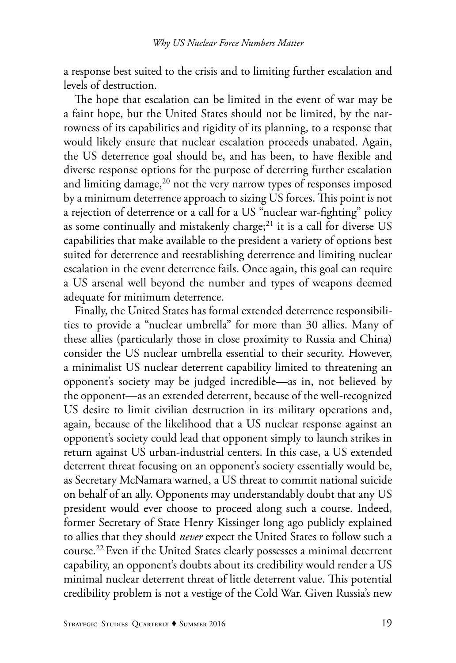a response best suited to the crisis and to limiting further escalation and levels of destruction.

The hope that escalation can be limited in the event of war may be a faint hope, but the United States should not be limited, by the narrowness of its capabilities and rigidity of its planning, to a response that would likely ensure that nuclear escalation proceeds unabated. Again, the US deterrence goal should be, and has been, to have flexible and diverse response options for the purpose of deterring further escalation and limiting damage, $20$  not the very narrow types of responses imposed by a minimum deterrence approach to sizing US forces. This point is not a rejection of deterrence or a call for a US "nuclear war-fighting" policy as some continually and mistakenly charge;<sup>21</sup> it is a call for diverse US capabilities that make available to the president a variety of options best suited for deterrence and reestablishing deterrence and limiting nuclear escalation in the event deterrence fails. Once again, this goal can require a US arsenal well beyond the number and types of weapons deemed adequate for minimum deterrence.

Finally, the United States has formal extended deterrence responsibilities to provide a "nuclear umbrella" for more than 30 allies. Many of these allies (particularly those in close proximity to Russia and China) consider the US nuclear umbrella essential to their security. However, a minimalist US nuclear deterrent capability limited to threatening an opponent's society may be judged incredible—as in, not believed by the opponent—as an extended deterrent, because of the well-recognized US desire to limit civilian destruction in its military operations and, again, because of the likelihood that a US nuclear response against an opponent's society could lead that opponent simply to launch strikes in return against US urban-industrial centers. In this case, a US extended deterrent threat focusing on an opponent's society essentially would be, as Secretary McNamara warned, a US threat to commit national suicide on behalf of an ally. Opponents may understandably doubt that any US president would ever choose to proceed along such a course. Indeed, former Secretary of State Henry Kissinger long ago publicly explained to allies that they should *never* expect the United States to follow such a course.22 Even if the United States clearly possesses a minimal deterrent capability, an opponent's doubts about its credibility would render a US minimal nuclear deterrent threat of little deterrent value. This potential credibility problem is not a vestige of the Cold War. Given Russia's new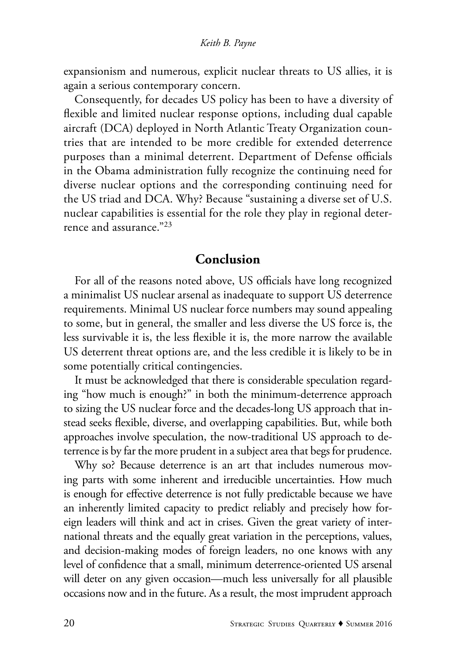expansionism and numerous, explicit nuclear threats to US allies, it is again a serious contemporary concern.

Consequently, for decades US policy has been to have a diversity of flexible and limited nuclear response options, including dual capable aircraft (DCA) deployed in North Atlantic Treaty Organization countries that are intended to be more credible for extended deterrence purposes than a minimal deterrent. Department of Defense officials in the Obama administration fully recognize the continuing need for diverse nuclear options and the corresponding continuing need for the US triad and DCA. Why? Because "sustaining a diverse set of U.S. nuclear capabilities is essential for the role they play in regional deterrence and assurance."23

# **Conclusion**

For all of the reasons noted above, US officials have long recognized a minimalist US nuclear arsenal as inadequate to support US deterrence requirements. Minimal US nuclear force numbers may sound appealing to some, but in general, the smaller and less diverse the US force is, the less survivable it is, the less flexible it is, the more narrow the available US deterrent threat options are, and the less credible it is likely to be in some potentially critical contingencies.

It must be acknowledged that there is considerable speculation regarding "how much is enough?" in both the minimum-deterrence approach to sizing the US nuclear force and the decades-long US approach that instead seeks flexible, diverse, and overlapping capabilities. But, while both approaches involve speculation, the now-traditional US approach to deterrence is by far the more prudent in a subject area that begs for prudence.

Why so? Because deterrence is an art that includes numerous moving parts with some inherent and irreducible uncertainties. How much is enough for effective deterrence is not fully predictable because we have an inherently limited capacity to predict reliably and precisely how foreign leaders will think and act in crises. Given the great variety of international threats and the equally great variation in the perceptions, values, and decision-making modes of foreign leaders, no one knows with any level of confidence that a small, minimum deterrence-oriented US arsenal will deter on any given occasion—much less universally for all plausible occasions now and in the future. As a result, the most imprudent approach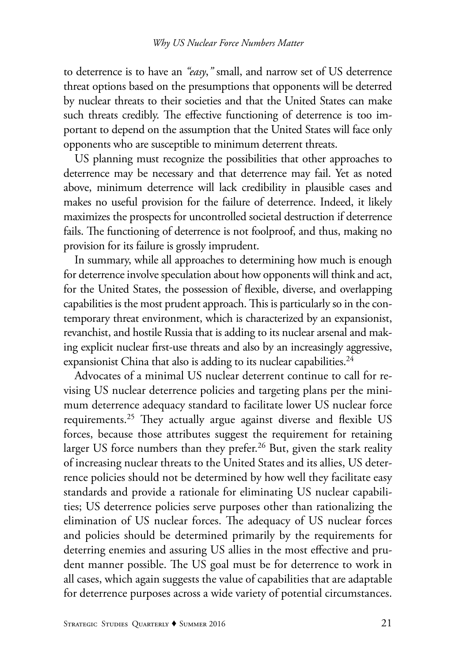to deterrence is to have an *"easy*,*"* small, and narrow set of US deterrence threat options based on the presumptions that opponents will be deterred by nuclear threats to their societies and that the United States can make such threats credibly. The effective functioning of deterrence is too important to depend on the assumption that the United States will face only opponents who are susceptible to minimum deterrent threats.

US planning must recognize the possibilities that other approaches to deterrence may be necessary and that deterrence may fail. Yet as noted above, minimum deterrence will lack credibility in plausible cases and makes no useful provision for the failure of deterrence. Indeed, it likely maximizes the prospects for uncontrolled societal destruction if deterrence fails. The functioning of deterrence is not foolproof, and thus, making no provision for its failure is grossly imprudent.

In summary, while all approaches to determining how much is enough for deterrence involve speculation about how opponents will think and act, for the United States, the possession of flexible, diverse, and overlapping capabilities is the most prudent approach. This is particularly so in the contemporary threat environment, which is characterized by an expansionist, revanchist, and hostile Russia that is adding to its nuclear arsenal and making explicit nuclear first-use threats and also by an increasingly aggressive, expansionist China that also is adding to its nuclear capabilities.<sup>24</sup>

Advocates of a minimal US nuclear deterrent continue to call for revising US nuclear deterrence policies and targeting plans per the minimum deterrence adequacy standard to facilitate lower US nuclear force requirements.<sup>25</sup> They actually argue against diverse and flexible US forces, because those attributes suggest the requirement for retaining larger US force numbers than they prefer.<sup>26</sup> But, given the stark reality of increasing nuclear threats to the United States and its allies, US deterrence policies should not be determined by how well they facilitate easy standards and provide a rationale for eliminating US nuclear capabilities; US deterrence policies serve purposes other than rationalizing the elimination of US nuclear forces. The adequacy of US nuclear forces and policies should be determined primarily by the requirements for deterring enemies and assuring US allies in the most effective and prudent manner possible. The US goal must be for deterrence to work in all cases, which again suggests the value of capabilities that are adaptable for deterrence purposes across a wide variety of potential circumstances.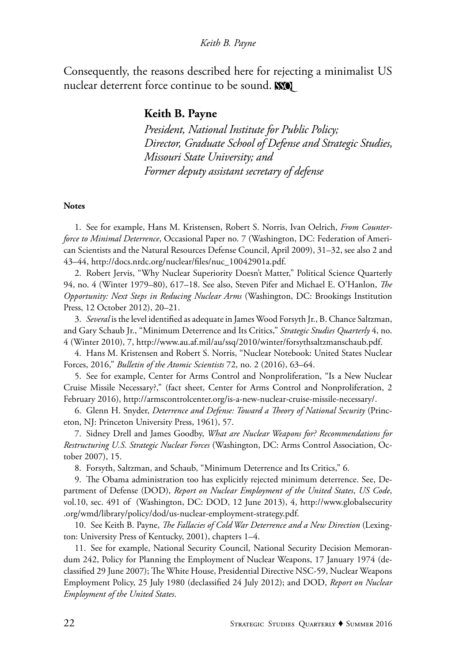Consequently, the reasons described here for rejecting a minimalist US nuclear deterrent force continue to be sound. WO

# **Keith B. Payne**

*President, National Institute for Public Policy; Director, Graduate School of Defense and Strategic Studies, Missouri State University; and Former deputy assistant secretary of defense*

#### **Notes**

1. See for example, Hans M. Kristensen, Robert S. Norris, Ivan Oelrich, *From Counterforce to Minimal Deterrence*, Occasional Paper no. 7 (Washington, DC: Federation of American Scientists and the Natural Resources Defense Council, April 2009), 31–32, see also 2 and 43–44, http://docs.nrdc.org/nuclear/files/nuc\_10042901a.pdf.

2. Robert Jervis, "Why Nuclear Superiority Doesn't Matter," Political Science Quarterly 94, no. 4 (Winter 1979–80), 617–18. See also, Steven Pifer and Michael E. O'Hanlon, *The Opportunity: Next Steps in Reducing Nuclear Arms* (Washington, DC: Brookings Institution Press, 12 October 2012), 20–21.

3. *Several* is the level identified as adequate in James Wood Forsyth Jr., B. Chance Saltzman, and Gary Schaub Jr., "Minimum Deterrence and Its Critics," *Strategic Studies Quarterly* 4, no. 4 (Winter 2010), 7, http://www.au.af.mil/au/ssq/2010/winter/forsythsaltzmanschaub.pdf.

4. Hans M. Kristensen and Robert S. Norris, "Nuclear Notebook: United States Nuclear Forces, 2016," *Bulletin of the Atomic Scientists* 72, no. 2 (2016), 63–64.

5. See for example, Center for Arms Control and Nonproliferation, "Is a New Nuclear Cruise Missile Necessary?," (fact sheet, Center for Arms Control and Nonproliferation, 2 February 2016), http://armscontrolcenter.org/is-a-new-nuclear-cruise-missile-necessary/.

6. Glenn H. Snyder, *Deterrence and Defense: Toward a Theory of National Security* (Princeton, NJ: Princeton University Press, 1961), 57.

7. Sidney Drell and James Goodby, *What are Nuclear Weapons for? Recommendations for Restructuring U.S. Strategic Nuclear Forces* (Washington, DC: Arms Control Association, October 2007), 15.

8. Forsyth, Saltzman, and Schaub, "Minimum Deterrence and Its Critics," 6.

9. The Obama administration too has explicitly rejected minimum deterrence. See, Department of Defense (DOD), *Report on Nuclear Employment of the United States*, *US Code*, vol.10, sec. 491 of (Washington, DC: DOD, 12 June 2013), 4, http://www.globalsecurity .org/wmd/library/policy/dod/us-nuclear-employment-strategy.pdf.

10. See Keith B. Payne, *The Fallacies of Cold War Deterrence and a New Direction* (Lexington: University Press of Kentucky, 2001), chapters 1–4.

11. See for example, National Security Council, National Security Decision Memorandum 242, Policy for Planning the Employment of Nuclear Weapons, 17 January 1974 (declassified 29 June 2007); The White House, Presidential Directive NSC-59, Nuclear Weapons Employment Policy, 25 July 1980 (declassified 24 July 2012); and DOD, *Report on Nuclear Employment of the United States*.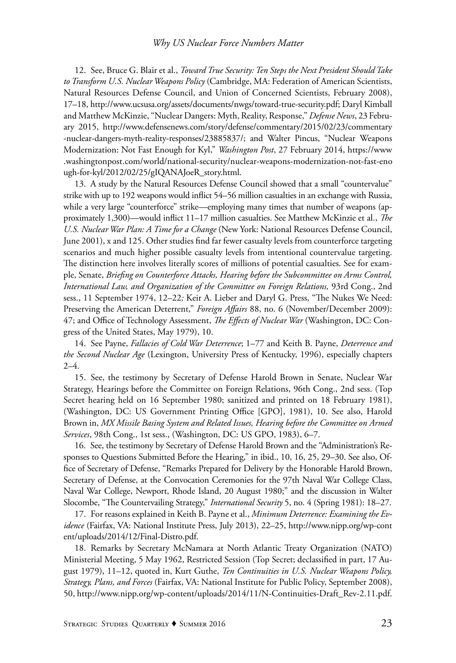12. See, Bruce G. Blair et al., *Toward True Security: Ten Steps the Next President Should Take to Transform U.S. Nuclear Weapons Policy* (Cambridge, MA: Federation of American Scientists, Natural Resources Defense Council, and Union of Concerned Scientists, February 2008), 17–18, http://www.ucsusa.org/assets/documents/nwgs/toward-true-security.pdf; Daryl Kimball and Matthew McKinzie, "Nuclear Dangers: Myth, Reality, Response," *Defense News*, 23 February 2015, http://www.defensenews.com/story/defense/commentary/2015/02/23/commentary -nuclear-dangers-myth-reality-responses/23885837/; and Walter Pincus, "Nuclear Weapons Modernization: Not Fast Enough for Kyl," *Washington Post*, 27 February 2014, https://www .washingtonpost.com/world/national-security/nuclear-weapons-modernization-not-fast-eno ugh-for-kyl/2012/02/25/gIQANAJoeR\_story.html.

13. A study by the Natural Resources Defense Council showed that a small "countervalue" strike with up to 192 weapons would inflict 54–56 million casualties in an exchange with Russia, while a very large "counterforce" strike—employing many times that number of weapons (approximately 1,300)—would inflict 11–17 million casualties. See Matthew McKinzie et al., *The U.S. Nuclear War Plan: A Time for a Change* (New York: National Resources Defense Council, June 2001), x and 125. Other studies find far fewer casualty levels from counterforce targeting scenarios and much higher possible casualty levels from intentional countervalue targeting. The distinction here involves literally scores of millions of potential casualties. See for example, Senate, *Briefing on Counterforce Attacks, Hearing before the Subcommittee on Arms Control, International Law, and Organization of the Committee on Foreign Relations,* 93rd Cong., 2nd sess., 11 September 1974, 12–22*;* Keir A. Lieber and Daryl G. Press, "The Nukes We Need: Preserving the American Deterrent," *Foreign Affairs* 88, no. 6 (November/December 2009): 47; and Office of Technology Assessment, *The Effects of Nuclear War* (Washington, DC: Congress of the United States, May 1979), 10.

14. See Payne, *Fallacies of Cold War Deterrence*; 1–77 and Keith B. Payne, *Deterrence and the Second Nuclear Age* (Lexington, University Press of Kentucky, 1996), especially chapters 2–4.

15. See, the testimony by Secretary of Defense Harold Brown in Senate, Nuclear War Strategy, Hearings before the Committee on Foreign Relations, 96th Cong., 2nd sess. (Top Secret hearing held on 16 September 1980; sanitized and printed on 18 February 1981), (Washington, DC: US Government Printing Office [GPO], 1981), 10. See also, Harold Brown in, *MX Missile Basing System and Related Issues, Hearing before the Committee on Armed Services*, 98th Cong., 1st sess., (Washington, DC: US GPO, 1983), 6–7.

16. See, the testimony by Secretary of Defense Harold Brown and the "Administration's Responses to Questions Submitted Before the Hearing," in ibid., 10, 16, 25, 29–30. See also, Office of Secretary of Defense, "Remarks Prepared for Delivery by the Honorable Harold Brown, Secretary of Defense, at the Convocation Ceremonies for the 97th Naval War College Class, Naval War College, Newport, Rhode Island, 20 August 1980;" and the discussion in Walter Slocombe, "The Countervailing Strategy," *International Security* 5, no. 4 (Spring 1981): 18–27.

17. For reasons explained in Keith B. Payne et al., *Minimum Deterrence: Examining the Evidence* (Fairfax, VA: National Institute Press, July 2013), 22–25, http://www.nipp.org/wp-cont ent/uploads/2014/12/Final-Distro.pdf.

18. Remarks by Secretary McNamara at North Atlantic Treaty Organization (NATO) Ministerial Meeting, 5 May 1962, Restricted Session (Top Secret; declassified in part, 17 August 1979), 11–12, quoted in, Kurt Guthe, *Ten Continuities in U.S. Nuclear Weapons Policy, Strategy, Plans, and Forces* (Fairfax, VA: National Institute for Public Policy, September 2008), 50, http://www.nipp.org/wp-content/uploads/2014/11/N-Continuities-Draft\_Rev-2.11.pdf.